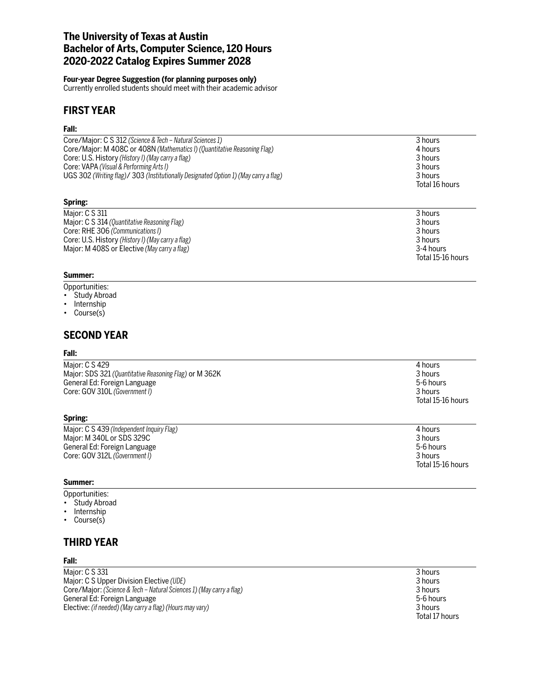## **The University of Texas at Austin Bachelor of Arts, Computer Science, 120 Hours 2020-2022 Catalog Expires Summer 2028**

### **Four-year Degree Suggestion (for planning purposes only)**

Currently enrolled students should meet with their academic advisor

## **FIRST YEAR**

### **Fall:**

| Core/Major: C S 312 (Science & Tech – Natural Sciences 1)                            | 3 hours        |
|--------------------------------------------------------------------------------------|----------------|
| Core/Major: M 408C or 408N (Mathematics I) (Quantitative Reasoning Flag)             | 4 hours        |
| Core: U.S. History (History I) (May carry a flag)                                    | 3 hours        |
| Core: VAPA (Visual & Performing Arts I)                                              | 3 hours        |
| UGS 302 (Writing flag)/ 303 (Institutionally Designated Option 1) (May carry a flag) | 3 hours        |
|                                                                                      | Total 16 hours |
|                                                                                      |                |

### **Spring:**

| Major: C S 311                                    | 3 hours           |
|---------------------------------------------------|-------------------|
| Major: C S 314 (Quantitative Reasoning Flag)      | 3 hours           |
| Core: RHE 306 (Communications I)                  | 3 hours           |
| Core: U.S. History (History I) (May carry a flag) | 3 hours           |
| Major: M 408S or Elective (May carry a flag)      | 3-4 hours         |
|                                                   | Total 15-16 hours |

## **Summer:**

- Opportunities: Study Abroad
- 
- Internship
- Course(s)

## **SECOND YEAR**

#### **Fall:**

| Major: C S 429                                         | 4 hours           |
|--------------------------------------------------------|-------------------|
| Major: SDS 321 (Quantitative Reasoning Flag) or M 362K | 3 hours           |
| General Ed: Foreign Language                           | 5-6 hours         |
| Core: GOV 310L (Government I)                          | 3 hours           |
|                                                        | Total 15-16 hours |

#### **Spring:**

| Maior: C S 439 (Independent Inquiry Flag) | 4 hours           |
|-------------------------------------------|-------------------|
| Maior: M 340L or SDS 329C                 | 3 hours           |
| General Ed: Foreign Language              | 5-6 hours         |
| Core: GOV 312L (Government I)             | 3 hours           |
|                                           | Total 15-16 hours |

#### **Summer:**

Opportunities: • Study Abroad

- 
- Internship
- Course(s)

# **THIRD YEAR**

#### **Fall:**

Major: C S 331 3 hours<br>
Major: C S Upper Division Elective (UDE) 3 hours<br>
3 hours Major: C S Upper Division Elective *(UDE)*<br>Core/Major: *(Science & Tech – Natural Sciences 1) (May carry a flag)* 3 hours 3 hours 3 hours 3 hours Core/Major: *(Science & Tech – Natural Sciences 1) (May carry a flag)* 3 hours General Ed: Foreign Language 5-6 hours Elective: *(if needed) (May carry a flag) (Hours may vary)* 3 hours

Total 17 hours